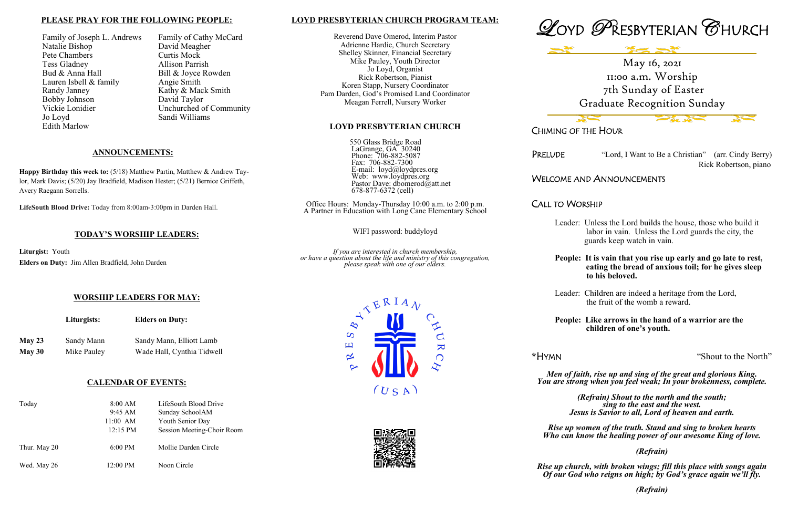### **LOYD PRESBYTERIAN CHURCH PROGRAM TEAM:**

Reverend Dave Omerod, Interim Pastor Adrienne Hardie, Church Secretary Shelley Skinner, Financial Secretary Mike Pauley, Youth Director Jo Loyd, Organist Rick Robertson, Pianist Koren Stapp, Nursery Coordinator Pam Darden, God's Promised Land Coordinator Meagan Ferrell, Nursery Worker

#### **LOYD PRESBYTERIAN CHURCH**

550 Glass Bridge Road LaGrange, GA 30240 Phone: 706-882-5087 Fax: 706-882-7300 E-mail: loyd@loydpres.org Web: www.loydpres.org Pastor Dave: dbomerod@att.net 678-877-6372 (cell)

PRELUDE "Lord, I Want to Be a Christian" (arr. Cindy Berry) Rick Robertson, piano

Office Hours: Monday-Thursday 10:00 a.m. to 2:00 p.m. A Partner in Education with Long Cane Elementary School

WIFI password: buddyloyd

*If you are interested in church membership, or have a question about the life and ministry of this congregation, please speak with one of our elders.*







CHIMING OF THE HOUR

## WELCOME AND ANNOUNCEMENTS

CALL TO WORSHIP

Family of Joseph L. Andrews Family of Cathy McCard Natalie Bishop David Meagher<br>Pete Chambers Curtis Mock Pete Chambers Tess Gladney Allison Parrish Bud & Anna Hall Bill & Joyce Rowden<br>
Lauren Isbell & family Angie Smith Lauren Isbell  $&$  family Randy Janney Kathy & Mack Smith Bobby Johnson<br>
Vickie Lonidier<br>
Unchurched o Jo Loyd Sandi Williams Edith Marlow

Unchurched of Community

- Leader: Unless the Lord builds the house, those who build it labor in vain. Unless the Lord guards the city, the guards keep watch in vain.
- **People: It is vain that you rise up early and go late to rest, eating the bread of anxious toil; for he gives sleep to his beloved.**
- Leader: Children are indeed a heritage from the Lord, the fruit of the womb a reward.
- **People: Like arrows in the hand of a warrior are the children of one's youth.**

**\***HYMN "Shout to the North"

*Men of faith, rise up and sing of the great and glorious King. You are strong when you feel weak; In your brokenness, complete.* 

*(Refrain) Shout to the north and the south; sing to the east and the west. Jesus is Savior to all, Lord of heaven and earth.* 

*Rise up women of the truth. Stand and sing to broken hearts Who can know the healing power of our awesome King of love.*

## *(Refrain)*

*Rise up church, with broken wings; fill this place with songs again Of our God who reigns on high; by God's grace again we'll fly.*

*(Refrain)*

#### **PLEASE PRAY FOR THE FOLLOWING PEOPLE:**

#### **ANNOUNCEMENTS:**

**Happy Birthday this week to:** (5/18) Matthew Partin, Matthew & Andrew Taylor, Mark Davis; (5/20) Jay Bradfield, Madison Hester; (5/21) Bernice Griffeth, Avery Raegann Sorrells.

LifeSouth Blood Drive: Today from 8:00am-3:00pm in Darden Hall.

#### **TODAY'S WORSHIP LEADERS:**

**Liturgist:** Youth **Elders on Duty:** Jim Allen Bradfield, John Darden

## **WORSHIP LEADERS FOR MAY:**

- **Liturgists: Elders on Duty: May 23** Sandy Mann Sandy Mann, Elliott Lamb
- **May 30** Mike Pauley Wade Hall, Cynthia Tidwell

## **CALENDAR OF EVENTS:**

| Today        | 8:00 AM<br>$9:45 \text{ AM}$<br>$11:00$ AM<br>$12:15 \text{ PM}$ | LifeSouth Blood Drive<br>Sunday SchoolAM<br>Youth Senior Day<br>Session Meeting-Choir Room |
|--------------|------------------------------------------------------------------|--------------------------------------------------------------------------------------------|
| Thur. May 20 | $6:00$ PM                                                        | Mollie Darden Circle                                                                       |
| Wed. May 26  | 12:00 PM                                                         | Noon Circle                                                                                |

May 16, 2021 11:00 a.m. Worship 7th Sunday of Easter Graduate Recognition Sunday